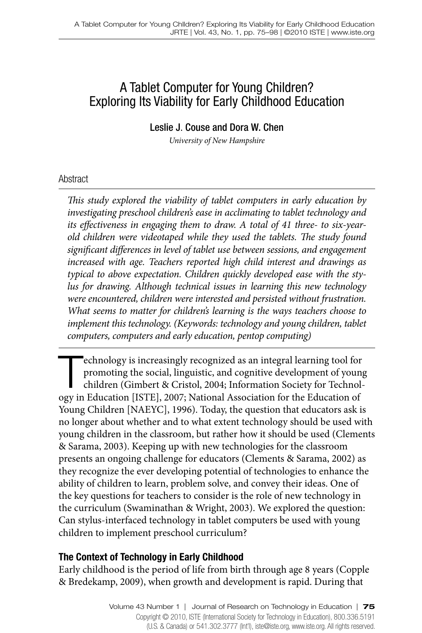# A Tablet Computer for Young Children? Exploring Its Viability for Early Childhood Education

Leslie J. Couse and Dora W. Chen

*University of New Hampshire*

## Abstract

*This study explored the viability of tablet computers in early education by investigating preschool children's ease in acclimating to tablet technology and its effectiveness in engaging them to draw. A total of 41 three- to six-yearold children were videotaped while they used the tablets. The study found significant differences in level of tablet use between sessions, and engagement increased with age. Teachers reported high child interest and drawings as typical to above expectation. Children quickly developed ease with the stylus for drawing. Although technical issues in learning this new technology were encountered, children were interested and persisted without frustration. What seems to matter for children's learning is the ways teachers choose to implement this technology. (Keywords: technology and young children, tablet computers, computers and early education, pentop computing)*

Echnology is increasingly recognized as an integral learning tool for<br>promoting the social, linguistic, and cognitive development of young<br>children (Gimbert & Cristol, 2004; Information Society for Technology<br>in Flanting I promoting the social, linguistic, and cognitive development of young children (Gimbert & Cristol, 2004; Information Society for Technology in Education [ISTE], 2007; National Association for the Education of Young Children [NAEYC], 1996). Today, the question that educators ask is no longer about whether and to what extent technology should be used with young children in the classroom, but rather how it should be used (Clements & Sarama, 2003). Keeping up with new technologies for the classroom presents an ongoing challenge for educators (Clements & Sarama, 2002) as they recognize the ever developing potential of technologies to enhance the ability of children to learn, problem solve, and convey their ideas. One of the key questions for teachers to consider is the role of new technology in the curriculum (Swaminathan & Wright, 2003). We explored the question: Can stylus-interfaced technology in tablet computers be used with young children to implement preschool curriculum?

## The Context of Technology in Early Childhood

Early childhood is the period of life from birth through age 8 years (Copple & Bredekamp, 2009), when growth and development is rapid. During that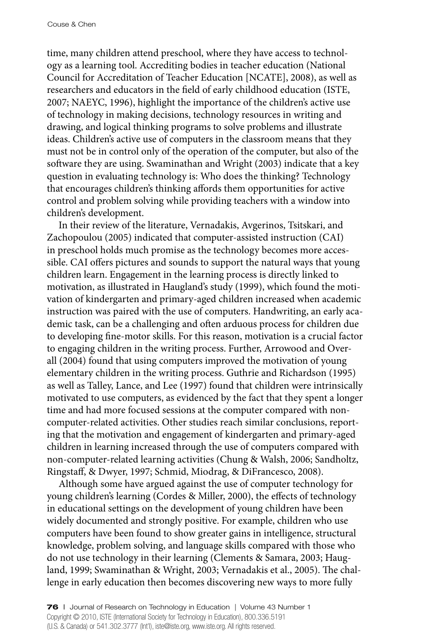time, many children attend preschool, where they have access to technology as a learning tool. Accrediting bodies in teacher education (National Council for Accreditation of Teacher Education [NCATE], 2008), as well as researchers and educators in the field of early childhood education (ISTE, 2007; NAEYC, 1996), highlight the importance of the children's active use of technology in making decisions, technology resources in writing and drawing, and logical thinking programs to solve problems and illustrate ideas. Children's active use of computers in the classroom means that they must not be in control only of the operation of the computer, but also of the software they are using. Swaminathan and Wright (2003) indicate that a key question in evaluating technology is: Who does the thinking? Technology that encourages children's thinking affords them opportunities for active control and problem solving while providing teachers with a window into children's development.

In their review of the literature, Vernadakis, Avgerinos, Tsitskari, and Zachopoulou (2005) indicated that computer-assisted instruction (CAI) in preschool holds much promise as the technology becomes more accessible. CAI offers pictures and sounds to support the natural ways that young children learn. Engagement in the learning process is directly linked to motivation, as illustrated in Haugland's study (1999), which found the motivation of kindergarten and primary-aged children increased when academic instruction was paired with the use of computers. Handwriting, an early academic task, can be a challenging and often arduous process for children due to developing fine-motor skills. For this reason, motivation is a crucial factor to engaging children in the writing process. Further, Arrowood and Overall (2004) found that using computers improved the motivation of young elementary children in the writing process. Guthrie and Richardson (1995) as well as Talley, Lance, and Lee (1997) found that children were intrinsically motivated to use computers, as evidenced by the fact that they spent a longer time and had more focused sessions at the computer compared with noncomputer-related activities. Other studies reach similar conclusions, reporting that the motivation and engagement of kindergarten and primary-aged children in learning increased through the use of computers compared with non-computer-related learning activities (Chung & Walsh, 2006; Sandholtz, Ringstaff, & Dwyer, 1997; Schmid, Miodrag, & DiFrancesco, 2008).

Although some have argued against the use of computer technology for young children's learning (Cordes & Miller, 2000), the effects of technology in educational settings on the development of young children have been widely documented and strongly positive. For example, children who use computers have been found to show greater gains in intelligence, structural knowledge, problem solving, and language skills compared with those who do not use technology in their learning (Clements & Samara, 2003; Haugland, 1999; Swaminathan & Wright, 2003; Vernadakis et al., 2005). The challenge in early education then becomes discovering new ways to more fully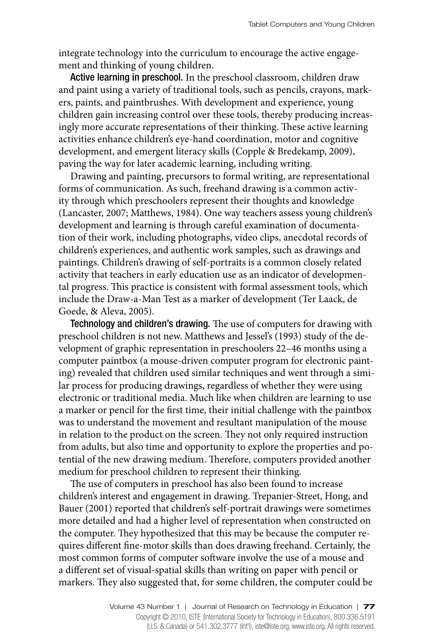integrate technology into the curriculum to encourage the active engagement and thinking of young children.

Active learning in preschool. In the preschool classroom, children draw and paint using a variety of traditional tools, such as pencils, crayons, markers, paints, and paintbrushes. With development and experience, young children gain increasing control over these tools, thereby producing increasingly more accurate representations of their thinking. These active learning activities enhance children's eye-hand coordination, motor and cognitive development, and emergent literacy skills (Copple & Bredekamp, 2009), paving the way for later academic learning, including writing.

Drawing and painting, precursors to formal writing, are representational forms of communication. As such, freehand drawing is a common activity through which preschoolers represent their thoughts and knowledge (Lancaster, 2007; Matthews, 1984). One way teachers assess young children's development and learning is through careful examination of documentation of their work, including photographs, video clips, anecdotal records of children's experiences, and authentic work samples, such as drawings and paintings. Children's drawing of self-portraits is a common closely related activity that teachers in early education use as an indicator of developmental progress. This practice is consistent with formal assessment tools, which include the Draw-a-Man Test as a marker of development (Ter Laack, de Goede, & Aleva, 2005).

Technology and children's drawing. The use of computers for drawing with preschool children is not new. Matthews and Jessel's (1993) study of the development of graphic representation in preschoolers 22–46 months using a computer paintbox (a mouse-driven computer program for electronic painting) revealed that children used similar techniques and went through a similar process for producing drawings, regardless of whether they were using electronic or traditional media. Much like when children are learning to use a marker or pencil for the first time, their initial challenge with the paintbox was to understand the movement and resultant manipulation of the mouse in relation to the product on the screen. They not only required instruction from adults, but also time and opportunity to explore the properties and potential of the new drawing medium. Therefore, computers provided another medium for preschool children to represent their thinking.

The use of computers in preschool has also been found to increase children's interest and engagement in drawing. Trepanier-Street, Hong, and Bauer (2001) reported that children's self-portrait drawings were sometimes more detailed and had a higher level of representation when constructed on the computer. They hypothesized that this may be because the computer requires different fine-motor skills than does drawing freehand. Certainly, the most common forms of computer software involve the use of a mouse and a different set of visual-spatial skills than writing on paper with pencil or markers. They also suggested that, for some children, the computer could be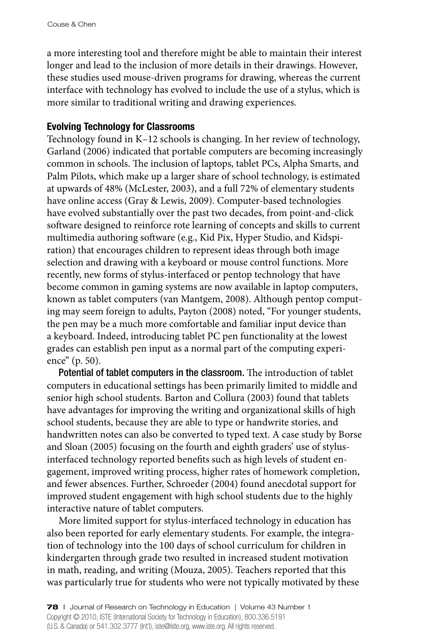a more interesting tool and therefore might be able to maintain their interest longer and lead to the inclusion of more details in their drawings. However, these studies used mouse-driven programs for drawing, whereas the current interface with technology has evolved to include the use of a stylus, which is more similar to traditional writing and drawing experiences.

## Evolving Technology for Classrooms

Technology found in K–12 schools is changing. In her review of technology, Garland (2006) indicated that portable computers are becoming increasingly common in schools. The inclusion of laptops, tablet PCs, Alpha Smarts, and Palm Pilots, which make up a larger share of school technology, is estimated at upwards of 48% (McLester, 2003), and a full 72% of elementary students have online access (Gray & Lewis, 2009). Computer-based technologies have evolved substantially over the past two decades, from point-and-click software designed to reinforce rote learning of concepts and skills to current multimedia authoring software (e.g., Kid Pix, Hyper Studio, and Kidspiration) that encourages children to represent ideas through both image selection and drawing with a keyboard or mouse control functions. More recently, new forms of stylus-interfaced or pentop technology that have become common in gaming systems are now available in laptop computers, known as tablet computers (van Mantgem, 2008). Although pentop computing may seem foreign to adults, Payton (2008) noted, "For younger students, the pen may be a much more comfortable and familiar input device than a keyboard. Indeed, introducing tablet PC pen functionality at the lowest grades can establish pen input as a normal part of the computing experience" (p. 50).

Potential of tablet computers in the classroom. The introduction of tablet computers in educational settings has been primarily limited to middle and senior high school students. Barton and Collura (2003) found that tablets have advantages for improving the writing and organizational skills of high school students, because they are able to type or handwrite stories, and handwritten notes can also be converted to typed text. A case study by Borse and Sloan (2005) focusing on the fourth and eighth graders' use of stylusinterfaced technology reported benefits such as high levels of student engagement, improved writing process, higher rates of homework completion, and fewer absences. Further, Schroeder (2004) found anecdotal support for improved student engagement with high school students due to the highly interactive nature of tablet computers.

More limited support for stylus-interfaced technology in education has also been reported for early elementary students. For example, the integration of technology into the 100 days of school curriculum for children in kindergarten through grade two resulted in increased student motivation in math, reading, and writing (Mouza, 2005). Teachers reported that this was particularly true for students who were not typically motivated by these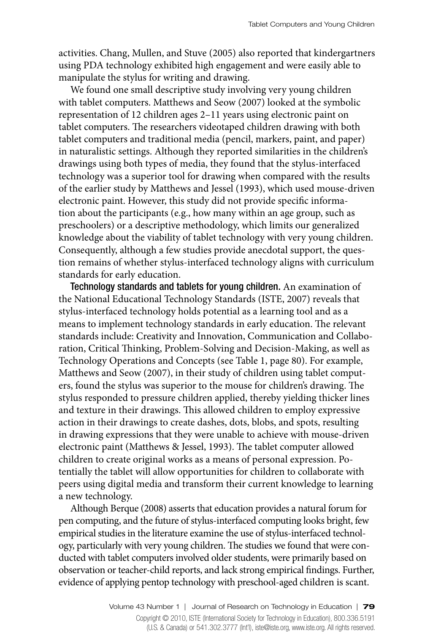activities. Chang, Mullen, and Stuve (2005) also reported that kindergartners using PDA technology exhibited high engagement and were easily able to manipulate the stylus for writing and drawing.

We found one small descriptive study involving very young children with tablet computers. Matthews and Seow (2007) looked at the symbolic representation of 12 children ages 2–11 years using electronic paint on tablet computers. The researchers videotaped children drawing with both tablet computers and traditional media (pencil, markers, paint, and paper) in naturalistic settings. Although they reported similarities in the children's drawings using both types of media, they found that the stylus-interfaced technology was a superior tool for drawing when compared with the results of the earlier study by Matthews and Jessel (1993), which used mouse-driven electronic paint. However, this study did not provide specific information about the participants (e.g., how many within an age group, such as preschoolers) or a descriptive methodology, which limits our generalized knowledge about the viability of tablet technology with very young children. Consequently, although a few studies provide anecdotal support, the question remains of whether stylus-interfaced technology aligns with curriculum standards for early education.

Technology standards and tablets for young children. An examination of the National Educational Technology Standards (ISTE, 2007) reveals that stylus-interfaced technology holds potential as a learning tool and as a means to implement technology standards in early education. The relevant standards include: Creativity and Innovation, Communication and Collaboration, Critical Thinking, Problem-Solving and Decision-Making, as well as Technology Operations and Concepts (see Table 1, page 80). For example, Matthews and Seow (2007), in their study of children using tablet computers, found the stylus was superior to the mouse for children's drawing. The stylus responded to pressure children applied, thereby yielding thicker lines and texture in their drawings. This allowed children to employ expressive action in their drawings to create dashes, dots, blobs, and spots, resulting in drawing expressions that they were unable to achieve with mouse-driven electronic paint (Matthews & Jessel, 1993). The tablet computer allowed children to create original works as a means of personal expression. Potentially the tablet will allow opportunities for children to collaborate with peers using digital media and transform their current knowledge to learning a new technology.

Although Berque (2008) asserts that education provides a natural forum for pen computing, and the future of stylus-interfaced computing looks bright, few empirical studies in the literature examine the use of stylus-interfaced technology, particularly with very young children. The studies we found that were conducted with tablet computers involved older students, were primarily based on observation or teacher-child reports, and lack strong empirical findings. Further, evidence of applying pentop technology with preschool-aged children is scant.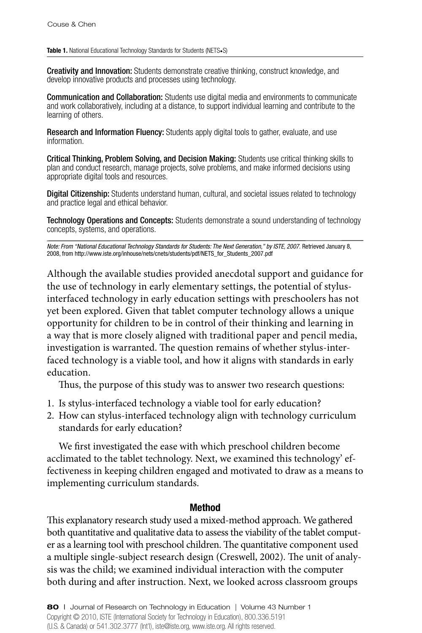#### Table 1. National Educational Technology Standards for Students (NETS•S)

Creativity and Innovation: Students demonstrate creative thinking, construct knowledge, and develop innovative products and processes using technology.

Communication and Collaboration: Students use digital media and environments to communicate and work collaboratively, including at a distance, to support individual learning and contribute to the learning of others.

Research and Information Fluency: Students apply digital tools to gather, evaluate, and use information.

Critical Thinking, Problem Solving, and Decision Making: Students use critical thinking skills to plan and conduct research, manage projects, solve problems, and make informed decisions using appropriate digital tools and resources.

Digital Citizenship: Students understand human, cultural, and societal issues related to technology and practice legal and ethical behavior.

Technology Operations and Concepts: Students demonstrate a sound understanding of technology concepts, systems, and operations.

*Note: From "National Educational Technology Standards for Students: The Next Generation," by ISTE, 2007.* Retrieved January 8, 2008, from http://www.iste.org/inhouse/nets/cnets/students/pdf/NETS\_for\_Students\_2007.pdf

Although the available studies provided anecdotal support and guidance for the use of technology in early elementary settings, the potential of stylusinterfaced technology in early education settings with preschoolers has not yet been explored. Given that tablet computer technology allows a unique opportunity for children to be in control of their thinking and learning in a way that is more closely aligned with traditional paper and pencil media, investigation is warranted. The question remains of whether stylus-interfaced technology is a viable tool, and how it aligns with standards in early education.

Thus, the purpose of this study was to answer two research questions:

- 1. Is stylus-interfaced technology a viable tool for early education?
- 2. How can stylus-interfaced technology align with technology curriculum standards for early education?

We first investigated the ease with which preschool children become acclimated to the tablet technology. Next, we examined this technology' effectiveness in keeping children engaged and motivated to draw as a means to implementing curriculum standards.

### Method

This explanatory research study used a mixed-method approach. We gathered both quantitative and qualitative data to assess the viability of the tablet computer as a learning tool with preschool children. The quantitative component used a multiple single-subject research design (Creswell, 2002). The unit of analysis was the child; we examined individual interaction with the computer both during and after instruction. Next, we looked across classroom groups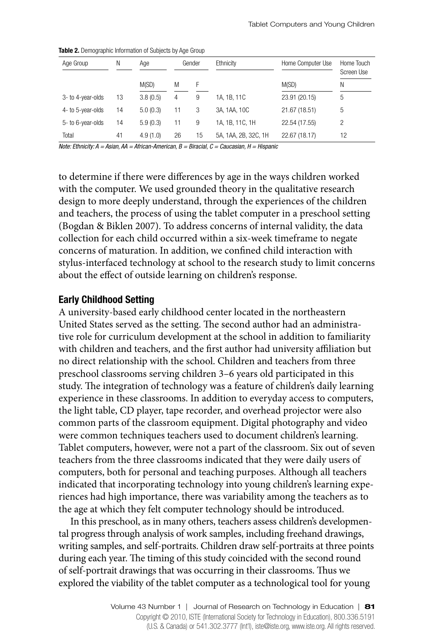| Age Group         | Ν  | Age      | Gender |    | Ethnicity            | Home Computer Use | Home Touch<br>Screen Use |
|-------------------|----|----------|--------|----|----------------------|-------------------|--------------------------|
|                   |    | M(SD)    | M      | F  |                      | M(SD)             | Ν                        |
| 3- to 4-year-olds | 13 | 3.8(0.5) | 4      | 9  | 1A, 1B, 11C          | 23.91 (20.15)     | 5                        |
| 4- to 5-year-olds | 14 | 5.0(0.3) | 11     | 3  | 3A, 1AA, 10C         | 21.67 (18.51)     | 5                        |
| 5- to 6-year-olds | 14 | 5.9(0.3) | 11     | 9  | 1A. 1B. 11C. 1H      | 22.54 (17.55)     | 2                        |
| Total             | 41 | 4.9(1.0) | 26     | 15 | 5A, 1AA, 2B, 32C, 1H | 22.67 (18.17)     | 12                       |

Table 2. Demographic Information of Subjects by Age Group

*Note: Ethnicity: A = Asian, AA = African-American, B = Biracial, C = Caucasian, H = Hispanic*

to determine if there were differences by age in the ways children worked with the computer. We used grounded theory in the qualitative research design to more deeply understand, through the experiences of the children and teachers, the process of using the tablet computer in a preschool setting (Bogdan & Biklen 2007). To address concerns of internal validity, the data collection for each child occurred within a six-week timeframe to negate concerns of maturation. In addition, we confined child interaction with stylus-interfaced technology at school to the research study to limit concerns about the effect of outside learning on children's response.

### Early Childhood Setting

A university-based early childhood center located in the northeastern United States served as the setting. The second author had an administrative role for curriculum development at the school in addition to familiarity with children and teachers, and the first author had university affiliation but no direct relationship with the school. Children and teachers from three preschool classrooms serving children 3–6 years old participated in this study. The integration of technology was a feature of children's daily learning experience in these classrooms. In addition to everyday access to computers, the light table, CD player, tape recorder, and overhead projector were also common parts of the classroom equipment. Digital photography and video were common techniques teachers used to document children's learning. Tablet computers, however, were not a part of the classroom. Six out of seven teachers from the three classrooms indicated that they were daily users of computers, both for personal and teaching purposes. Although all teachers indicated that incorporating technology into young children's learning experiences had high importance, there was variability among the teachers as to the age at which they felt computer technology should be introduced.

In this preschool, as in many others, teachers assess children's developmental progress through analysis of work samples, including freehand drawings, writing samples, and self-portraits. Children draw self-portraits at three points during each year. The timing of this study coincided with the second round of self-portrait drawings that was occurring in their classrooms. Thus we explored the viability of the tablet computer as a technological tool for young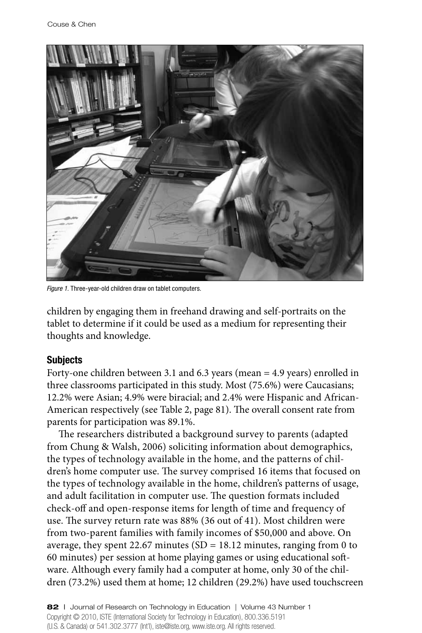

*Figure 1.* Three-year-old children draw on tablet computers.

children by engaging them in freehand drawing and self-portraits on the tablet to determine if it could be used as a medium for representing their thoughts and knowledge.

### **Subjects**

Forty-one children between 3.1 and 6.3 years (mean = 4.9 years) enrolled in three classrooms participated in this study. Most (75.6%) were Caucasians; 12.2% were Asian; 4.9% were biracial; and 2.4% were Hispanic and African-American respectively (see Table 2, page 81). The overall consent rate from parents for participation was 89.1%.

The researchers distributed a background survey to parents (adapted from Chung & Walsh, 2006) soliciting information about demographics, the types of technology available in the home, and the patterns of children's home computer use. The survey comprised 16 items that focused on the types of technology available in the home, children's patterns of usage, and adult facilitation in computer use. The question formats included check-off and open-response items for length of time and frequency of use. The survey return rate was 88% (36 out of 41). Most children were from two-parent families with family incomes of \$50,000 and above. On average, they spent 22.67 minutes ( $SD = 18.12$  minutes, ranging from 0 to 60 minutes) per session at home playing games or using educational software. Although every family had a computer at home, only 30 of the children (73.2%) used them at home; 12 children (29.2%) have used touchscreen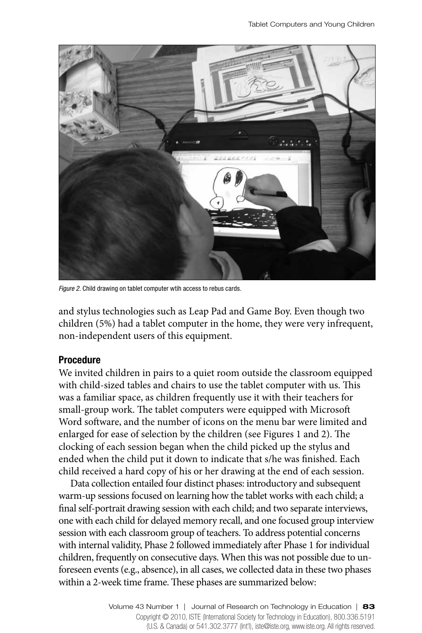

*Figure 2.* Child drawing on tablet computer wtih access to rebus cards.

and stylus technologies such as Leap Pad and Game Boy. Even though two children (5%) had a tablet computer in the home, they were very infrequent, non-independent users of this equipment.

### Procedure

We invited children in pairs to a quiet room outside the classroom equipped with child-sized tables and chairs to use the tablet computer with us. This was a familiar space, as children frequently use it with their teachers for small-group work. The tablet computers were equipped with Microsoft Word software, and the number of icons on the menu bar were limited and enlarged for ease of selection by the children (see Figures 1 and 2). The clocking of each session began when the child picked up the stylus and ended when the child put it down to indicate that s/he was finished. Each child received a hard copy of his or her drawing at the end of each session.

Data collection entailed four distinct phases: introductory and subsequent warm-up sessions focused on learning how the tablet works with each child; a final self-portrait drawing session with each child; and two separate interviews, one with each child for delayed memory recall, and one focused group interview session with each classroom group of teachers. To address potential concerns with internal validity, Phase 2 followed immediately after Phase 1 for individual children, frequently on consecutive days. When this was not possible due to unforeseen events (e.g., absence), in all cases, we collected data in these two phases within a 2-week time frame. These phases are summarized below: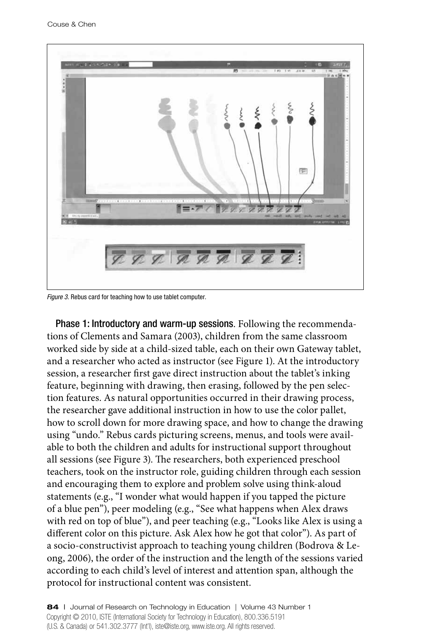

*Figure 3.* Rebus card for teaching how to use tablet computer.

Phase 1: Introductory and warm-up sessions. Following the recommendations of Clements and Samara (2003), children from the same classroom worked side by side at a child-sized table, each on their own Gateway tablet, and a researcher who acted as instructor (see Figure 1). At the introductory session, a researcher first gave direct instruction about the tablet's inking feature, beginning with drawing, then erasing, followed by the pen selection features. As natural opportunities occurred in their drawing process, the researcher gave additional instruction in how to use the color pallet, how to scroll down for more drawing space, and how to change the drawing using "undo." Rebus cards picturing screens, menus, and tools were available to both the children and adults for instructional support throughout all sessions (see Figure 3). The researchers, both experienced preschool teachers, took on the instructor role, guiding children through each session and encouraging them to explore and problem solve using think-aloud statements (e.g., "I wonder what would happen if you tapped the picture of a blue pen"), peer modeling (e.g., "See what happens when Alex draws with red on top of blue"), and peer teaching (e.g., "Looks like Alex is using a different color on this picture. Ask Alex how he got that color"). As part of a socio-constructivist approach to teaching young children (Bodrova & Leong, 2006), the order of the instruction and the length of the sessions varied according to each child's level of interest and attention span, although the protocol for instructional content was consistent.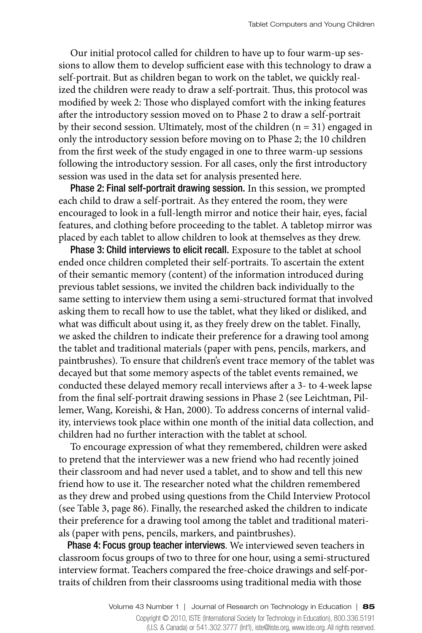Our initial protocol called for children to have up to four warm-up sessions to allow them to develop sufficient ease with this technology to draw a self-portrait. But as children began to work on the tablet, we quickly realized the children were ready to draw a self-portrait. Thus, this protocol was modified by week 2: Those who displayed comfort with the inking features after the introductory session moved on to Phase 2 to draw a self-portrait by their second session. Ultimately, most of the children  $(n = 31)$  engaged in only the introductory session before moving on to Phase 2; the 10 children from the first week of the study engaged in one to three warm-up sessions following the introductory session. For all cases, only the first introductory session was used in the data set for analysis presented here.

Phase 2: Final self-portrait drawing session. In this session, we prompted each child to draw a self-portrait. As they entered the room, they were encouraged to look in a full-length mirror and notice their hair, eyes, facial features, and clothing before proceeding to the tablet. A tabletop mirror was placed by each tablet to allow children to look at themselves as they drew.

Phase 3: Child interviews to elicit recall. Exposure to the tablet at school ended once children completed their self-portraits. To ascertain the extent of their semantic memory (content) of the information introduced during previous tablet sessions, we invited the children back individually to the same setting to interview them using a semi-structured format that involved asking them to recall how to use the tablet, what they liked or disliked, and what was difficult about using it, as they freely drew on the tablet. Finally, we asked the children to indicate their preference for a drawing tool among the tablet and traditional materials (paper with pens, pencils, markers, and paintbrushes). To ensure that children's event trace memory of the tablet was decayed but that some memory aspects of the tablet events remained, we conducted these delayed memory recall interviews after a 3- to 4-week lapse from the final self-portrait drawing sessions in Phase 2 (see Leichtman, Pillemer, Wang, Koreishi, & Han, 2000). To address concerns of internal validity, interviews took place within one month of the initial data collection, and children had no further interaction with the tablet at school.

To encourage expression of what they remembered, children were asked to pretend that the interviewer was a new friend who had recently joined their classroom and had never used a tablet, and to show and tell this new friend how to use it. The researcher noted what the children remembered as they drew and probed using questions from the Child Interview Protocol (see Table 3, page 86). Finally, the researched asked the children to indicate their preference for a drawing tool among the tablet and traditional materials (paper with pens, pencils, markers, and paintbrushes).

Phase 4: Focus group teacher interviews. We interviewed seven teachers in classroom focus groups of two to three for one hour, using a semi-structured interview format. Teachers compared the free-choice drawings and self-portraits of children from their classrooms using traditional media with those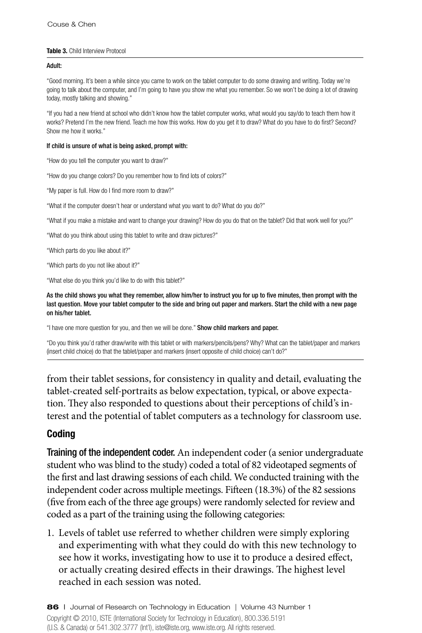#### Table 3. Child Interview Protocol

#### Adult:

"Good morning. It's been a while since you came to work on the tablet computer to do some drawing and writing. Today we're going to talk about the computer, and I'm going to have you show me what you remember. So we won't be doing a lot of drawing today, mostly talking and showing."

"If you had a new friend at school who didn't know how the tablet computer works, what would you say/do to teach them how it works? Pretend I'm the new friend. Teach me how this works. How do you get it to draw? What do you have to do first? Second? Show me how it works."

#### If child is unsure of what is being asked, prompt with:

"How do you tell the computer you want to draw?"

"How do you change colors? Do you remember how to find lots of colors?"

"My paper is full. How do I find more room to draw?"

"What if the computer doesn't hear or understand what you want to do? What do you do?"

"What if you make a mistake and want to change your drawing? How do you do that on the tablet? Did that work well for you?"

"What do you think about using this tablet to write and draw pictures?"

"Which parts do you like about it?"

"Which parts do you not like about it?"

"What else do you think you'd like to do with this tablet?"

As the child shows you what they remember, allow him/her to instruct you for up to five minutes, then prompt with the last question. Move your tablet computer to the side and bring out paper and markers. Start the child with a new page on his/her tablet.

"I have one more question for you, and then we will be done." Show child markers and paper.

"Do you think you'd rather draw/write with this tablet or with markers/pencils/pens? Why? What can the tablet/paper and markers (insert child choice) do that the tablet/paper and markers (insert opposite of child choice) can't do?"

from their tablet sessions, for consistency in quality and detail, evaluating the tablet-created self-portraits as below expectation, typical, or above expectation. They also responded to questions about their perceptions of child's interest and the potential of tablet computers as a technology for classroom use.

### Coding

Training of the independent coder. An independent coder (a senior undergraduate student who was blind to the study) coded a total of 82 videotaped segments of the first and last drawing sessions of each child. We conducted training with the independent coder across multiple meetings. Fifteen (18.3%) of the 82 sessions (five from each of the three age groups) were randomly selected for review and coded as a part of the training using the following categories:

1. Levels of tablet use referred to whether children were simply exploring and experimenting with what they could do with this new technology to see how it works, investigating how to use it to produce a desired effect, or actually creating desired effects in their drawings. The highest level reached in each session was noted.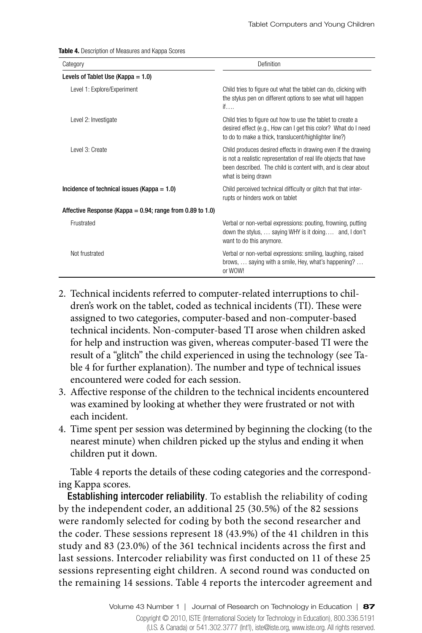| Category                                                     | Definition                                                                                                                                                                                                                |  |  |  |  |
|--------------------------------------------------------------|---------------------------------------------------------------------------------------------------------------------------------------------------------------------------------------------------------------------------|--|--|--|--|
| Levels of Tablet Use (Kappa $= 1.0$ )                        |                                                                                                                                                                                                                           |  |  |  |  |
| Level 1: Explore/Experiment                                  | Child tries to figure out what the tablet can do, clicking with<br>the stylus pen on different options to see what will happen<br>if                                                                                      |  |  |  |  |
| Level 2: Investigate                                         | Child tries to figure out how to use the tablet to create a<br>desired effect (e.g., How can I get this color? What do I need<br>to do to make a thick, translucent/highlighter line?)                                    |  |  |  |  |
| Level 3: Create                                              | Child produces desired effects in drawing even if the drawing<br>is not a realistic representation of real life objects that have<br>been described. The child is content with, and is clear about<br>what is being drawn |  |  |  |  |
| Incidence of technical issues (Kappa = $1.0$ )               | Child perceived technical difficulty or glitch that that inter-<br>rupts or hinders work on tablet                                                                                                                        |  |  |  |  |
| Affective Response (Kappa = $0.94$ ; range from 0.89 to 1.0) |                                                                                                                                                                                                                           |  |  |  |  |
| Frustrated                                                   | Verbal or non-verbal expressions: pouting, frowning, putting<br>down the stylus,  saying WHY is it doing and, I don't<br>want to do this anymore.                                                                         |  |  |  |  |
| Not frustrated                                               | Verbal or non-verbal expressions: smiling, laughing, raised<br>brows,  saying with a smile, Hey, what's happening?<br>or WOW!                                                                                             |  |  |  |  |

Table 4. Description of Measures and Kappa Scores

- 2. Technical incidents referred to computer-related interruptions to children's work on the tablet, coded as technical incidents (TI). These were assigned to two categories, computer-based and non-computer-based technical incidents. Non-computer-based TI arose when children asked for help and instruction was given, whereas computer-based TI were the result of a "glitch" the child experienced in using the technology (see Table 4 for further explanation). The number and type of technical issues encountered were coded for each session.
- 3. Affective response of the children to the technical incidents encountered was examined by looking at whether they were frustrated or not with each incident.
- 4. Time spent per session was determined by beginning the clocking (to the nearest minute) when children picked up the stylus and ending it when children put it down.

Table 4 reports the details of these coding categories and the corresponding Kappa scores.

Establishing intercoder reliability. To establish the reliability of coding by the independent coder, an additional 25 (30.5%) of the 82 sessions were randomly selected for coding by both the second researcher and the coder. These sessions represent 18 (43.9%) of the 41 children in this study and 83 (23.0%) of the 361 technical incidents across the first and last sessions. Intercoder reliability was first conducted on 11 of these 25 sessions representing eight children. A second round was conducted on the remaining 14 sessions. Table 4 reports the intercoder agreement and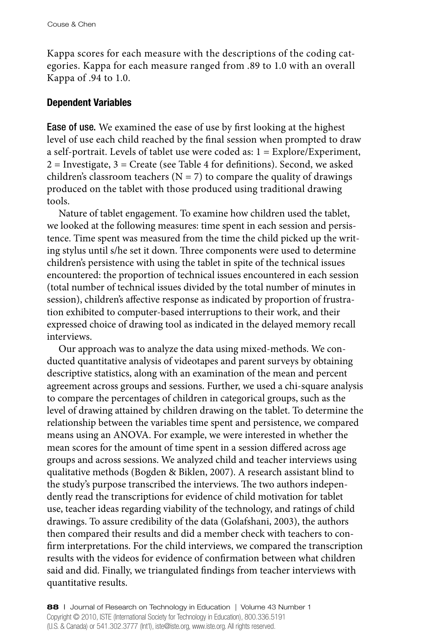Kappa scores for each measure with the descriptions of the coding categories. Kappa for each measure ranged from .89 to 1.0 with an overall Kappa of .94 to 1.0.

## Dependent Variables

Ease of use. We examined the ease of use by first looking at the highest level of use each child reached by the final session when prompted to draw a self-portrait. Levels of tablet use were coded as: 1 = Explore/Experiment, 2 = Investigate, 3 = Create (see Table 4 for definitions). Second, we asked children's classroom teachers ( $N = 7$ ) to compare the quality of drawings produced on the tablet with those produced using traditional drawing tools.

Nature of tablet engagement. To examine how children used the tablet, we looked at the following measures: time spent in each session and persistence. Time spent was measured from the time the child picked up the writing stylus until s/he set it down. Three components were used to determine children's persistence with using the tablet in spite of the technical issues encountered: the proportion of technical issues encountered in each session (total number of technical issues divided by the total number of minutes in session), children's affective response as indicated by proportion of frustration exhibited to computer-based interruptions to their work, and their expressed choice of drawing tool as indicated in the delayed memory recall interviews.

Our approach was to analyze the data using mixed-methods. We conducted quantitative analysis of videotapes and parent surveys by obtaining descriptive statistics, along with an examination of the mean and percent agreement across groups and sessions. Further, we used a chi-square analysis to compare the percentages of children in categorical groups, such as the level of drawing attained by children drawing on the tablet. To determine the relationship between the variables time spent and persistence, we compared means using an ANOVA. For example, we were interested in whether the mean scores for the amount of time spent in a session differed across age groups and across sessions. We analyzed child and teacher interviews using qualitative methods (Bogden & Biklen, 2007). A research assistant blind to the study's purpose transcribed the interviews. The two authors independently read the transcriptions for evidence of child motivation for tablet use, teacher ideas regarding viability of the technology, and ratings of child drawings. To assure credibility of the data (Golafshani, 2003), the authors then compared their results and did a member check with teachers to confirm interpretations. For the child interviews, we compared the transcription results with the videos for evidence of confirmation between what children said and did. Finally, we triangulated findings from teacher interviews with quantitative results.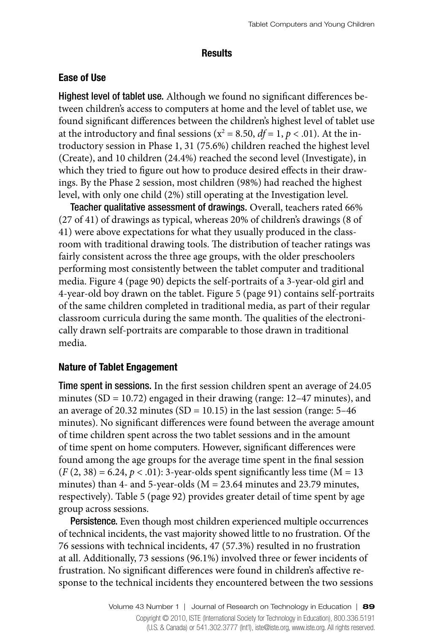## **Results**

## Ease of Use

Highest level of tablet use. Although we found no significant differences between children's access to computers at home and the level of tablet use, we found significant differences between the children's highest level of tablet use at the introductory and final sessions ( $x^2 = 8.50$ ,  $df = 1$ ,  $p < .01$ ). At the introductory session in Phase 1, 31 (75.6%) children reached the highest level (Create), and 10 children (24.4%) reached the second level (Investigate), in which they tried to figure out how to produce desired effects in their drawings. By the Phase 2 session, most children (98%) had reached the highest level, with only one child (2%) still operating at the Investigation level.

Teacher qualitative assessment of drawings. Overall, teachers rated 66% (27 of 41) of drawings as typical, whereas 20% of children's drawings (8 of 41) were above expectations for what they usually produced in the classroom with traditional drawing tools. The distribution of teacher ratings was fairly consistent across the three age groups, with the older preschoolers performing most consistently between the tablet computer and traditional media. Figure 4 (page 90) depicts the self-portraits of a 3-year-old girl and 4-year-old boy drawn on the tablet. Figure 5 (page 91) contains self-portraits of the same children completed in traditional media, as part of their regular classroom curricula during the same month. The qualities of the electronically drawn self-portraits are comparable to those drawn in traditional media.

## Nature of Tablet Engagement

Time spent in sessions. In the first session children spent an average of 24.05 minutes (SD = 10.72) engaged in their drawing (range:  $12-47$  minutes), and an average of 20.32 minutes (SD =  $10.15$ ) in the last session (range: 5–46 minutes). No significant differences were found between the average amount of time children spent across the two tablet sessions and in the amount of time spent on home computers. However, significant differences were found among the age groups for the average time spent in the final session  $(F(2, 38) = 6.24, p < .01)$ : 3-year-olds spent significantly less time (M = 13) minutes) than 4- and 5-year-olds ( $M = 23.64$  minutes and 23.79 minutes, respectively). Table 5 (page 92) provides greater detail of time spent by age group across sessions.

**Persistence.** Even though most children experienced multiple occurrences of technical incidents, the vast majority showed little to no frustration. Of the 76 sessions with technical incidents, 47 (57.3%) resulted in no frustration at all. Additionally, 73 sessions (96.1%) involved three or fewer incidents of frustration. No significant differences were found in children's affective response to the technical incidents they encountered between the two sessions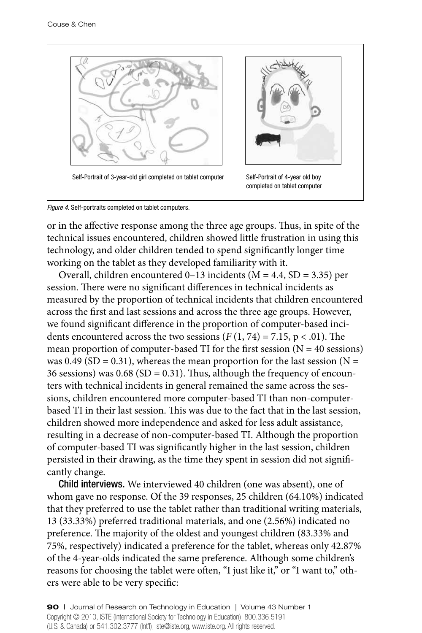



completed on tablet computer

*Figure 4.* Self-portraits completed on tablet computers.

or in the affective response among the three age groups. Thus, in spite of the technical issues encountered, children showed little frustration in using this technology, and older children tended to spend significantly longer time working on the tablet as they developed familiarity with it.

Overall, children encountered  $0-13$  incidents (M = 4.4, SD = 3.35) per session. There were no significant differences in technical incidents as measured by the proportion of technical incidents that children encountered across the first and last sessions and across the three age groups. However, we found significant difference in the proportion of computer-based incidents encountered across the two sessions  $(F(1, 74) = 7.15, p < .01)$ . The mean proportion of computer-based TI for the first session ( $N = 40$  sessions) was 0.49 (SD = 0.31), whereas the mean proportion for the last session ( $N =$ 36 sessions) was  $0.68$  (SD = 0.31). Thus, although the frequency of encounters with technical incidents in general remained the same across the sessions, children encountered more computer-based TI than non-computerbased TI in their last session. This was due to the fact that in the last session, children showed more independence and asked for less adult assistance, resulting in a decrease of non-computer-based TI. Although the proportion of computer-based TI was significantly higher in the last session, children persisted in their drawing, as the time they spent in session did not significantly change.

Child interviews. We interviewed 40 children (one was absent), one of whom gave no response. Of the 39 responses, 25 children (64.10%) indicated that they preferred to use the tablet rather than traditional writing materials, 13 (33.33%) preferred traditional materials, and one (2.56%) indicated no preference. The majority of the oldest and youngest children (83.33% and 75%, respectively) indicated a preference for the tablet, whereas only 42.87% of the 4-year-olds indicated the same preference. Although some children's reasons for choosing the tablet were often, "I just like it," or "I want to," others were able to be very specific: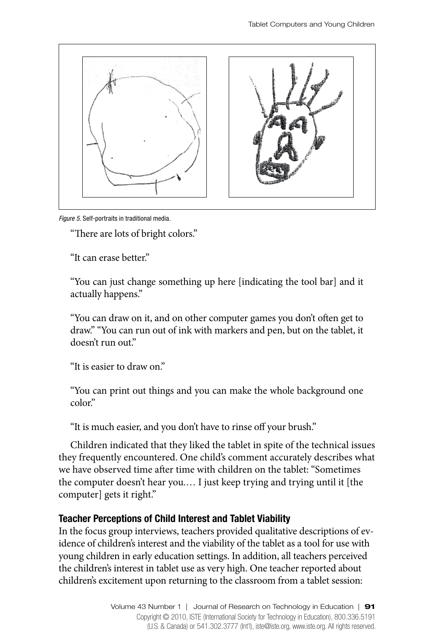

*Figure 5.* Self-portraits in traditional media.

"There are lots of bright colors."

"It can erase better."

"You can just change something up here [indicating the tool bar] and it actually happens."

"You can draw on it, and on other computer games you don't often get to draw." "You can run out of ink with markers and pen, but on the tablet, it doesn't run out."

"It is easier to draw on."

"You can print out things and you can make the whole background one color"

"It is much easier, and you don't have to rinse off your brush."

Children indicated that they liked the tablet in spite of the technical issues they frequently encountered. One child's comment accurately describes what we have observed time after time with children on the tablet: "Sometimes the computer doesn't hear you.… I just keep trying and trying until it [the computer] gets it right."

### Teacher Perceptions of Child Interest and Tablet Viability

In the focus group interviews, teachers provided qualitative descriptions of evidence of children's interest and the viability of the tablet as a tool for use with young children in early education settings. In addition, all teachers perceived the children's interest in tablet use as very high. One teacher reported about children's excitement upon returning to the classroom from a tablet session: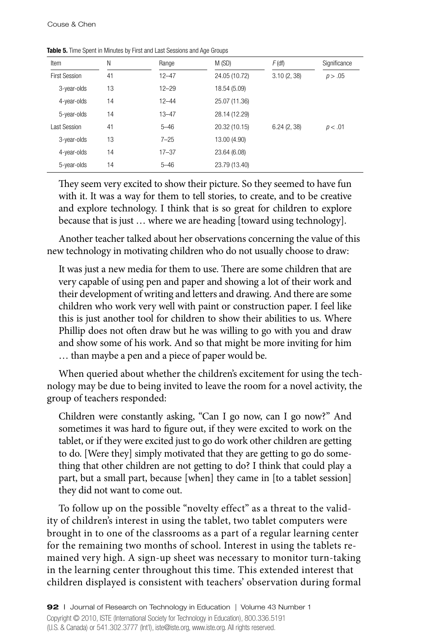| Item                 | N  | Range     | M(SD)         | $F$ (df)    | Significance |
|----------------------|----|-----------|---------------|-------------|--------------|
| <b>First Session</b> | 41 | $12 - 47$ | 24.05 (10.72) | 3.10(2, 38) | p > .05      |
| 3-year-olds          | 13 | $12 - 29$ | 18.54 (5.09)  |             |              |
| 4-year-olds          | 14 | $12 - 44$ | 25.07 (11.36) |             |              |
| 5-year-olds          | 14 | $13 - 47$ | 28.14 (12.29) |             |              |
| Last Session         | 41 | $5 - 46$  | 20.32 (10.15) | 6.24(2, 38) | p < .01      |
| 3-year-olds          | 13 | $7 - 25$  | 13.00 (4.90)  |             |              |
| 4-year-olds          | 14 | $17 - 37$ | 23.64 (6.08)  |             |              |
| 5-year-olds          | 14 | $5 - 46$  | 23.79 (13.40) |             |              |

Table 5. Time Spent in Minutes by First and Last Sessions and Age Groups

They seem very excited to show their picture. So they seemed to have fun with it. It was a way for them to tell stories, to create, and to be creative and explore technology. I think that is so great for children to explore because that is just … where we are heading [toward using technology].

Another teacher talked about her observations concerning the value of this new technology in motivating children who do not usually choose to draw:

It was just a new media for them to use. There are some children that are very capable of using pen and paper and showing a lot of their work and their development of writing and letters and drawing. And there are some children who work very well with paint or construction paper. I feel like this is just another tool for children to show their abilities to us. Where Phillip does not often draw but he was willing to go with you and draw and show some of his work. And so that might be more inviting for him … than maybe a pen and a piece of paper would be.

When queried about whether the children's excitement for using the technology may be due to being invited to leave the room for a novel activity, the group of teachers responded:

Children were constantly asking, "Can I go now, can I go now?" And sometimes it was hard to figure out, if they were excited to work on the tablet, or if they were excited just to go do work other children are getting to do. [Were they] simply motivated that they are getting to go do something that other children are not getting to do? I think that could play a part, but a small part, because [when] they came in [to a tablet session] they did not want to come out.

To follow up on the possible "novelty effect" as a threat to the validity of children's interest in using the tablet, two tablet computers were brought in to one of the classrooms as a part of a regular learning center for the remaining two months of school. Interest in using the tablets remained very high. A sign-up sheet was necessary to monitor turn-taking in the learning center throughout this time. This extended interest that children displayed is consistent with teachers' observation during formal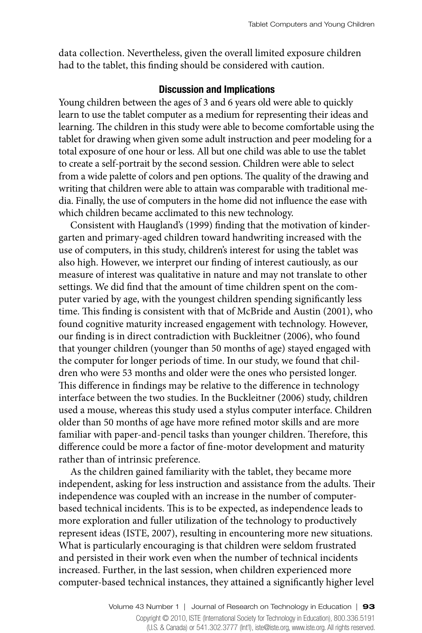data collection. Nevertheless, given the overall limited exposure children had to the tablet, this finding should be considered with caution.

### Discussion and Implications

Young children between the ages of 3 and 6 years old were able to quickly learn to use the tablet computer as a medium for representing their ideas and learning. The children in this study were able to become comfortable using the tablet for drawing when given some adult instruction and peer modeling for a total exposure of one hour or less. All but one child was able to use the tablet to create a self-portrait by the second session. Children were able to select from a wide palette of colors and pen options. The quality of the drawing and writing that children were able to attain was comparable with traditional media. Finally, the use of computers in the home did not influence the ease with which children became acclimated to this new technology.

Consistent with Haugland's (1999) finding that the motivation of kindergarten and primary-aged children toward handwriting increased with the use of computers, in this study, children's interest for using the tablet was also high. However, we interpret our finding of interest cautiously, as our measure of interest was qualitative in nature and may not translate to other settings. We did find that the amount of time children spent on the computer varied by age, with the youngest children spending significantly less time. This finding is consistent with that of McBride and Austin (2001), who found cognitive maturity increased engagement with technology. However, our finding is in direct contradiction with Buckleitner (2006), who found that younger children (younger than 50 months of age) stayed engaged with the computer for longer periods of time. In our study, we found that children who were 53 months and older were the ones who persisted longer. This difference in findings may be relative to the difference in technology interface between the two studies. In the Buckleitner (2006) study, children used a mouse, whereas this study used a stylus computer interface. Children older than 50 months of age have more refined motor skills and are more familiar with paper-and-pencil tasks than younger children. Therefore, this difference could be more a factor of fine-motor development and maturity rather than of intrinsic preference.

As the children gained familiarity with the tablet, they became more independent, asking for less instruction and assistance from the adults. Their independence was coupled with an increase in the number of computerbased technical incidents. This is to be expected, as independence leads to more exploration and fuller utilization of the technology to productively represent ideas (ISTE, 2007), resulting in encountering more new situations. What is particularly encouraging is that children were seldom frustrated and persisted in their work even when the number of technical incidents increased. Further, in the last session, when children experienced more computer-based technical instances, they attained a significantly higher level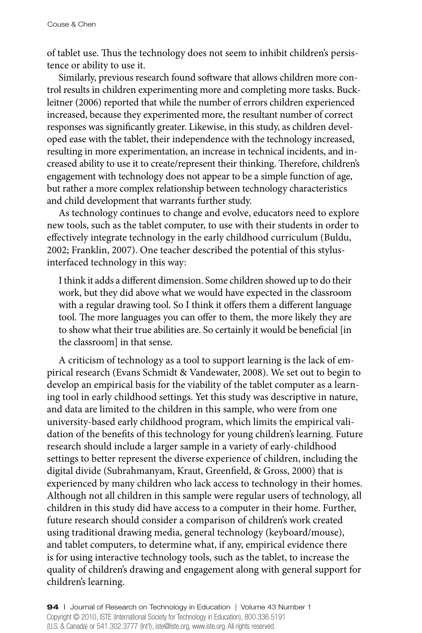of tablet use. Thus the technology does not seem to inhibit children's persistence or ability to use it.

Similarly, previous research found software that allows children more control results in children experimenting more and completing more tasks. Buckleitner (2006) reported that while the number of errors children experienced increased, because they experimented more, the resultant number of correct responses was significantly greater. Likewise, in this study, as children developed ease with the tablet, their independence with the technology increased, resulting in more experimentation, an increase in technical incidents, and increased ability to use it to create/represent their thinking. Therefore, children's engagement with technology does not appear to be a simple function of age, but rather a more complex relationship between technology characteristics and child development that warrants further study.

As technology continues to change and evolve, educators need to explore new tools, such as the tablet computer, to use with their students in order to effectively integrate technology in the early childhood curriculum (Buldu, 2002; Franklin, 2007). One teacher described the potential of this stylusinterfaced technology in this way:

I think it adds a different dimension. Some children showed up to do their work, but they did above what we would have expected in the classroom with a regular drawing tool. So I think it offers them a different language tool. The more languages you can offer to them, the more likely they are to show what their true abilities are. So certainly it would be beneficial [in the classroom] in that sense.

A criticism of technology as a tool to support learning is the lack of empirical research (Evans Schmidt & Vandewater, 2008). We set out to begin to develop an empirical basis for the viability of the tablet computer as a learning tool in early childhood settings. Yet this study was descriptive in nature, and data are limited to the children in this sample, who were from one university-based early childhood program, which limits the empirical validation of the benefits of this technology for young children's learning. Future research should include a larger sample in a variety of early-childhood settings to better represent the diverse experience of children, including the digital divide (Subrahmanyam, Kraut, Greenfield, & Gross, 2000) that is experienced by many children who lack access to technology in their homes. Although not all children in this sample were regular users of technology, all children in this study did have access to a computer in their home. Further, future research should consider a comparison of children's work created using traditional drawing media, general technology (keyboard/mouse), and tablet computers, to determine what, if any, empirical evidence there is for using interactive technology tools, such as the tablet, to increase the quality of children's drawing and engagement along with general support for children's learning.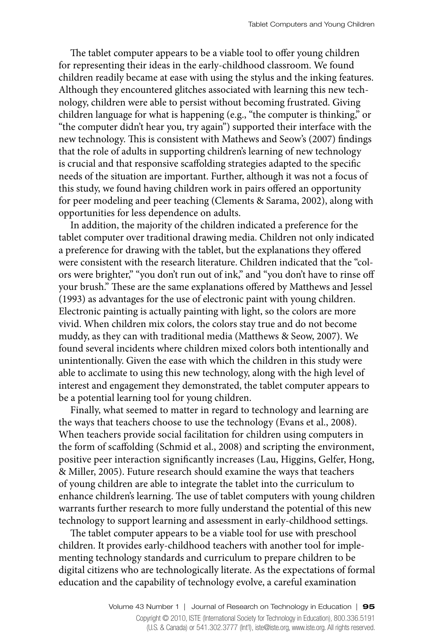The tablet computer appears to be a viable tool to offer young children for representing their ideas in the early-childhood classroom. We found children readily became at ease with using the stylus and the inking features. Although they encountered glitches associated with learning this new technology, children were able to persist without becoming frustrated. Giving children language for what is happening (e.g., "the computer is thinking," or "the computer didn't hear you, try again") supported their interface with the new technology. This is consistent with Mathews and Seow's (2007) findings that the role of adults in supporting children's learning of new technology is crucial and that responsive scaffolding strategies adapted to the specific needs of the situation are important. Further, although it was not a focus of this study, we found having children work in pairs offered an opportunity for peer modeling and peer teaching (Clements & Sarama, 2002), along with opportunities for less dependence on adults.

In addition, the majority of the children indicated a preference for the tablet computer over traditional drawing media. Children not only indicated a preference for drawing with the tablet, but the explanations they offered were consistent with the research literature. Children indicated that the "colors were brighter," "you don't run out of ink," and "you don't have to rinse off your brush." These are the same explanations offered by Matthews and Jessel (1993) as advantages for the use of electronic paint with young children. Electronic painting is actually painting with light, so the colors are more vivid. When children mix colors, the colors stay true and do not become muddy, as they can with traditional media (Matthews & Seow, 2007). We found several incidents where children mixed colors both intentionally and unintentionally. Given the ease with which the children in this study were able to acclimate to using this new technology, along with the high level of interest and engagement they demonstrated, the tablet computer appears to be a potential learning tool for young children.

Finally, what seemed to matter in regard to technology and learning are the ways that teachers choose to use the technology (Evans et al., 2008). When teachers provide social facilitation for children using computers in the form of scaffolding (Schmid et al., 2008) and scripting the environment, positive peer interaction significantly increases (Lau, Higgins, Gelfer, Hong, & Miller, 2005). Future research should examine the ways that teachers of young children are able to integrate the tablet into the curriculum to enhance children's learning. The use of tablet computers with young children warrants further research to more fully understand the potential of this new technology to support learning and assessment in early-childhood settings.

The tablet computer appears to be a viable tool for use with preschool children. It provides early-childhood teachers with another tool for implementing technology standards and curriculum to prepare children to be digital citizens who are technologically literate. As the expectations of formal education and the capability of technology evolve, a careful examination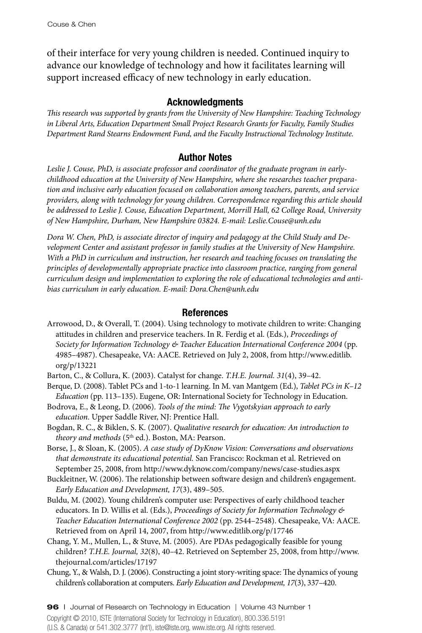of their interface for very young children is needed. Continued inquiry to advance our knowledge of technology and how it facilitates learning will support increased efficacy of new technology in early education.

#### Acknowledgments

*This research was supported by grants from the University of New Hampshire: Teaching Technology in Liberal Arts, Education Department Small Project Research Grants for Faculty, Family Studies Department Rand Stearns Endowment Fund, and the Faculty Instructional Technology Institute.*

#### Author Notes

*Leslie J. Couse, PhD, is associate professor and coordinator of the graduate program in earlychildhood education at the University of New Hampshire, where she researches teacher preparation and inclusive early education focused on collaboration among teachers, parents, and service providers, along with technology for young children. Correspondence regarding this article should be addressed to Leslie J. Couse, Education Department, Morrill Hall, 62 College Road, University of New Hampshire, Durham, New Hampshire 03824. E-mail: Leslie.Couse@unh.edu*

*Dora W. Chen, PhD, is associate director of inquiry and pedagogy at the Child Study and Development Center and assistant professor in family studies at the University of New Hampshire. With a PhD in curriculum and instruction, her research and teaching focuses on translating the principles of developmentally appropriate practice into classroom practice, ranging from general curriculum design and implementation to exploring the role of educational technologies and antibias curriculum in early education. E-mail: Dora.Chen@unh.edu*

#### References

Arrowood, D., & Overall, T. (2004). Using technology to motivate children to write: Changing attitudes in children and preservice teachers. In R. Ferdig et al. (Eds.), *Proceedings of Society for Information Technology & Teacher Education International Conference 2004* (pp. 4985–4987). Chesapeake, VA: AACE. Retrieved on July 2, 2008, from http://www.editlib. org/p/13221

Barton, C., & Collura, K. (2003). Catalyst for change. *T.H.E. Journal. 31*(4), 39–42.

Berque, D. (2008). Tablet PCs and 1-to-1 learning. In M. van Mantgem (Ed.), *Tablet PCs in K–12 Education* (pp. 113–135). Eugene, OR: International Society for Technology in Education.

- Bodrova, E., & Leong, D. (2006). *Tools of the mind: The Vygotskyian approach to early education.* Upper Saddle River, NJ: Prentice Hall.
- Bogdan, R. C., & Biklen, S. K. (2007). *Qualitative research for education: An introduction to*  theory and methods (5<sup>th</sup> ed.). Boston, MA: Pearson.
- Borse, J., & Sloan, K. (2005). *A case study of DyKnow Vision: Conversations and observations that demonstrate its educational potential.* San Francisco: Rockman et al. Retrieved on September 25, 2008, from http://www.dyknow.com/company/news/case-studies.aspx

Buckleitner, W. (2006). The relationship between software design and children's engagement. *Early Education and Development, 17*(3), 489–505.

- Buldu, M. (2002). Young children's computer use: Perspectives of early childhood teacher educators. In D. Willis et al. (Eds.), *Proceedings of Society for Information Technology & Teacher Education International Conference 2002* (pp. 2544–2548). Chesapeake, VA: AACE. Retrieved from on April 14, 2007, from http://www.editlib.org/p/17746
- Chang, Y. M., Mullen, L., & Stuve, M. (2005). Are PDAs pedagogically feasible for young children? *T.H.E. Journal, 32*(8), 40–42. Retrieved on September 25, 2008, from http://www. thejournal.com/articles/17197
- Chung, Y., & Walsh, D. J. (2006). Constructing a joint story-writing space: The dynamics of young children's collaboration at computers. *Early Education and Development, 17*(3), 337–420.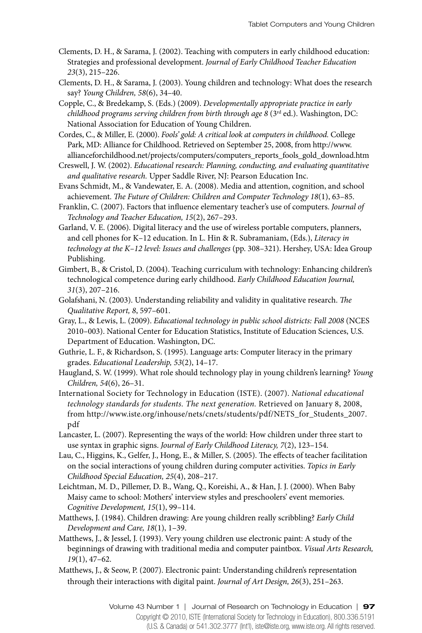- Clements, D. H., & Sarama, J. (2002). Teaching with computers in early childhood education: Strategies and professional development. *Journal of Early Childhood Teacher Education 23*(3), 215–226.
- Clements, D. H., & Sarama, J. (2003). Young children and technology: What does the research say? *Young Children, 58*(6), 34–40.
- Copple, C., & Bredekamp, S. (Eds.) (2009). *Developmentally appropriate practice in early childhood programs serving children from birth through age 8* (3rd ed.). Washington, DC: National Association for Education of Young Children.
- Cordes, C., & Miller, E. (2000). *Fools' gold: A critical look at computers in childhood.* College Park, MD: Alliance for Childhood. Retrieved on September 25, 2008, from http://www. allianceforchildhood.net/projects/computers/computers\_reports\_fools\_gold\_download.htm
- Creswell, J. W. (2002). *Educational research: Planning, conducting, and evaluating quantitative and qualitative research.* Upper Saddle River, NJ: Pearson Education Inc.
- Evans Schmidt, M., & Vandewater, E. A. (2008). Media and attention, cognition, and school achievement. *The Future of Children: Children and Computer Technology 18*(1), 63–85.
- Franklin, C. (2007). Factors that influence elementary teacher's use of computers. *Journal of Technology and Teacher Education, 15*(2), 267–293.
- Garland, V. E. (2006). Digital literacy and the use of wireless portable computers, planners, and cell phones for K–12 education. In L. Hin & R. Subramaniam, (Eds.), *Literacy in technology at the K–12 level: Issues and challenges* (pp. 308–321). Hershey, USA: Idea Group Publishing.
- Gimbert, B., & Cristol, D. (2004). Teaching curriculum with technology: Enhancing children's technological competence during early childhood. *Early Childhood Education Journal, 31*(3), 207–216.
- Golafshani, N. (2003). Understanding reliability and validity in qualitative research. *The Qualitative Report, 8*, 597–601.
- Gray, L., & Lewis, L. (2009). *Educational technology in public school districts: Fall 2008* (NCES 2010–003). National Center for Education Statistics, Institute of Education Sciences, U.S. Department of Education. Washington, DC.
- Guthrie, L. F., & Richardson, S. (1995). Language arts: Computer literacy in the primary grades. *Educational Leadership, 53*(2), 14–17.
- Haugland, S. W. (1999). What role should technology play in young children's learning? *Young Children, 54*(6), 26–31.
- International Society for Technology in Education (ISTE). (2007). *National educational technology standards for students. The next generation.* Retrieved on January 8, 2008, from http://www.iste.org/inhouse/nets/cnets/students/pdf/NETS\_for\_Students\_2007. pdf
- Lancaster, L. (2007). Representing the ways of the world: How children under three start to use syntax in graphic signs. *Journal of Early Childhood Literacy, 7*(2), 123–154.
- Lau, C., Higgins, K., Gelfer, J., Hong, E., & Miller, S. (2005). The effects of teacher facilitation on the social interactions of young children during computer activities. *Topics in Early Childhood Special Education, 25*(4), 208–217.
- Leichtman, M. D., Pillemer, D. B., Wang, Q., Koreishi, A., & Han, J. J. (2000). When Baby Maisy came to school: Mothers' interview styles and preschoolers' event memories. *Cognitive Development, 15*(1), 99–114.
- Matthews, J. (1984). Children drawing: Are young children really scribbling? *Early Child Development and Care, 18*(1), 1–39.
- Matthews, J., & Jessel, J. (1993). Very young children use electronic paint: A study of the beginnings of drawing with traditional media and computer paintbox. *Visual Arts Research, 19*(1), 47–62.
- Matthews, J., & Seow, P. (2007). Electronic paint: Understanding children's representation through their interactions with digital paint. *Journal of Art Design, 26*(3), 251–263.